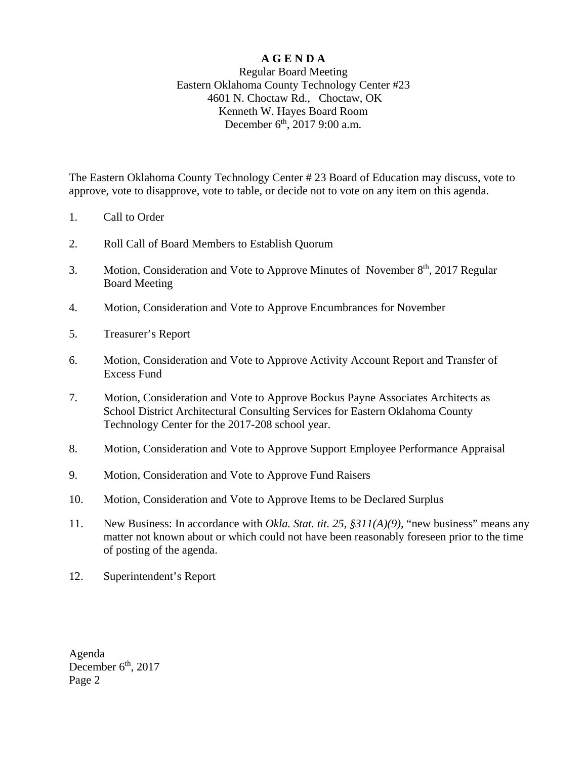## **A G E N D A**

## Regular Board Meeting Eastern Oklahoma County Technology Center #23 4601 N. Choctaw Rd., Choctaw, OK Kenneth W. Hayes Board Room December 6<sup>th</sup>, 2017 9:00 a.m.

The Eastern Oklahoma County Technology Center # 23 Board of Education may discuss, vote to approve, vote to disapprove, vote to table, or decide not to vote on any item on this agenda.

- 1. Call to Order
- 2. Roll Call of Board Members to Establish Quorum
- 3. Motion, Consideration and Vote to Approve Minutes of November 8<sup>th</sup>, 2017 Regular Board Meeting
- 4. Motion, Consideration and Vote to Approve Encumbrances for November
- 5. Treasurer's Report
- 6. Motion, Consideration and Vote to Approve Activity Account Report and Transfer of Excess Fund
- 7. Motion, Consideration and Vote to Approve Bockus Payne Associates Architects as School District Architectural Consulting Services for Eastern Oklahoma County Technology Center for the 2017-208 school year.
- 8. Motion, Consideration and Vote to Approve Support Employee Performance Appraisal
- 9. Motion, Consideration and Vote to Approve Fund Raisers
- 10. Motion, Consideration and Vote to Approve Items to be Declared Surplus
- 11. New Business: In accordance with *Okla. Stat. tit. 25, §311(A)(9)*, "new business" means any matter not known about or which could not have been reasonably foreseen prior to the time of posting of the agenda.
- 12. Superintendent's Report

Agenda December  $6<sup>th</sup>$ , 2017 Page 2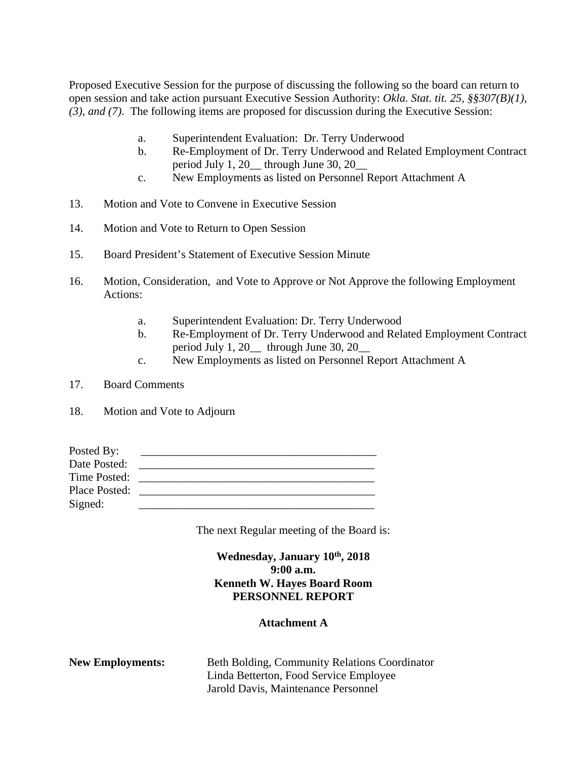Proposed Executive Session for the purpose of discussing the following so the board can return to open session and take action pursuant Executive Session Authority: *Okla. Stat. tit. 25, §§307(B)(1), (3), and (7)*. The following items are proposed for discussion during the Executive Session:

- a. Superintendent Evaluation: Dr. Terry Underwood
- b. Re-Employment of Dr. Terry Underwood and Related Employment Contract period July 1, 20\_\_ through June 30, 20\_\_
- c. New Employments as listed on Personnel Report Attachment A
- 13. Motion and Vote to Convene in Executive Session
- 14. Motion and Vote to Return to Open Session
- 15. Board President's Statement of Executive Session Minute
- 16. Motion, Consideration, and Vote to Approve or Not Approve the following Employment Actions:
	- a. Superintendent Evaluation: Dr. Terry Underwood
	- b. Re-Employment of Dr. Terry Underwood and Related Employment Contract period July 1, 20\_\_ through June 30, 20\_\_
	- c. New Employments as listed on Personnel Report Attachment A
- 17. Board Comments
- 18. Motion and Vote to Adjourn

| Posted By:    |  |
|---------------|--|
| Date Posted:  |  |
| Time Posted:  |  |
| Place Posted: |  |
| Signed:       |  |

The next Regular meeting of the Board is:

Wednesday, January  $10^{th}$ , 2018 **9:00 a.m. Kenneth W. Hayes Board Room PERSONNEL REPORT**

## **Attachment A**

| <b>New Employments:</b> | Beth Bolding, Community Relations Coordinator |
|-------------------------|-----------------------------------------------|
|                         | Linda Betterton, Food Service Employee        |
|                         | Jarold Davis, Maintenance Personnel           |